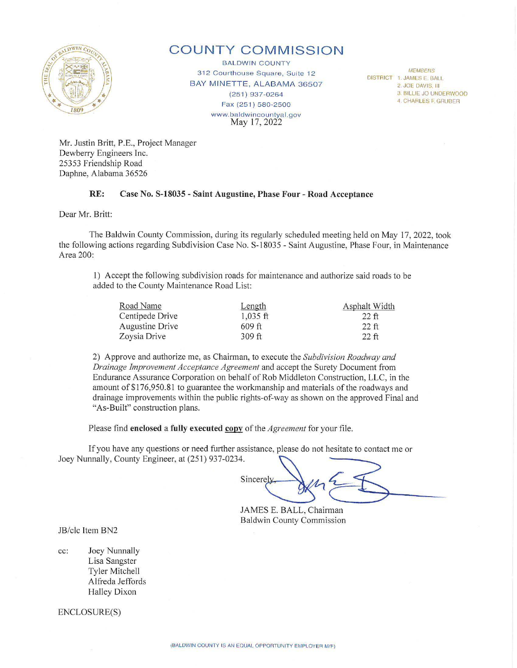

# **COUNTY COMMISSION**

**BALDWIN COUNTY** 312 Courthouse Square, Suite 12 BAY MINETTE, ALABAMA 36507 (251) 937-0264 Fax (251) 580-2500 www.baldwincountyal.gov May 17, 2022

DISTRICT 1. JAMES E. BALL

2. JOE DAVIS, III

3. BILLIE JO UNDERWOOD

4. CHARLES F. GRUBER

Mr. Justin Britt, P.E., Project Manager Dewberry Engineers Inc. 25353 Friendship Road Daphne, Alabama 36526

#### **RE: Case No. S-18035 - Saint Augustine, Phase Four - Road Acceptance**

Dear Mr. Britt:

The Baldwin County Commission, during its regularly scheduled meeting held on May 17, 2022, took the following actions regarding Subdivision Case No. S-18035 - Saint Augustine, Phase Four, in Maintenance Area 200:

1) Accept the following subdivision roads for maintenance and authorize said roads to be added to the County Maintenance Road List:

| Road Name       | Length     | Asphalt Width |
|-----------------|------------|---------------|
| Centipede Drive | $1.035$ ft | $22$ ft       |
| Augustine Drive | $609$ ft   | $22$ ft       |
| Zoysia Drive    | $309$ ft   | $22$ ft       |

2) Approve and authorize me, as Chainnan, to execute the *Subdivision Roadway and Drainage Improvement Acceptance Agreement* and accept the Surety Document from Endurance Assurance Corporation on behalf of Rob Middleton Construction, LLC, in the amount of \$ 176,950.81 to guarantee the workmanship and materials of the roadways and drainage improvements within the public rights-of-way as shown on the approved Final and "As-Built" construction plans.

Please find **enclosed a fully executed copy** of the *Agreement* for your file.

If you have any questions or need further assistance, please do not hesitate to contact me or Please find **enclosed a fully executed <u>copy</u>** of the *Agreement* for your file.<br>If you have any questions or need further assistance, please do not hesitate to contact me or<br>Joey Nunnally, County Engineer, at (251) 937-02

 $Sineerely$   $\downarrow$ Sincerely<br>JAMES E. BALL, Chairman

Baldwin County Commission

JB/clc Item BN2

cc: Joey Nunnally Lisa Sangster Tyler Mitchell Alfreda Jeffords Halley Dixon

ENCLOSURE(S)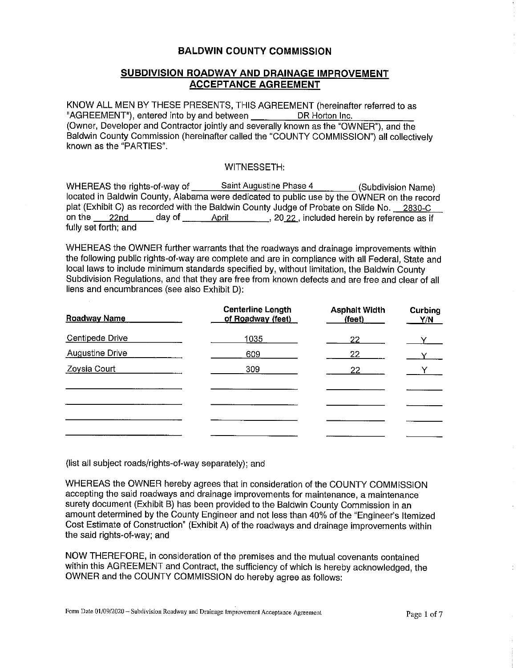### **BALDWIN COUNTY COMMISSION**

## **SUBDIVISION ROADWAY AND DRAINAGE IMPROVEMENT ACCEPTANCE AGREEMENT**

KNOW ALL MEN BY THESE PRESENTS, THIS AGREEMENT (hereinafter referred to as "AGREEMENT"), entered into by and between DR Horton Inc. (Owner, Developer and Contractor jointly and severally known as the "OWNER"), and the Baldwin County Commission (hereinafter called the "COUNTY COMMISSION") all collectively known as the "PARTIES".

#### WITNESSETH:

WHEREAS the rights-of-way of Saint Augustine Phase 4 (Subdivision Name) located in Baldwin County, Alabama were dedicated to public use by the OWNER on the record plat (Exhibit C) as recorded with the Baldwin County Judge of Probate on Slide No. 2830-C on the  $\_\_2$ 2nd  $\_\_$  day of  $\_\_$  April  $\_\_$ , 20 22 , included herein by reference as if fully set forth; and

WHEREAS the OWNER further warrants that the roadways and drainage improvements within the following public rights-of-way are complete and are in compliance with all Federal, State and local laws to include minimum standards specified by, without limitation, the Baldwin County Subdivision Regulations, and that they are free from known defects and are free and clear of all liens and encumbrances (see also Exhibit D):

| <b>Roadway Name</b> | <b>Centerline Length</b><br>of Roadway (feet) | <b>Asphalt Width</b><br>(feet) | Curbing<br><u>Y/N</u> |
|---------------------|-----------------------------------------------|--------------------------------|-----------------------|
| Centipede Drive     | 1035                                          | $22 -$                         | V –                   |
| Augustine Drive     | 609                                           | 22                             | $\mathbf{Y}$          |
| Zoysia Court        | 309                                           | $22 -$                         | $\mathbf{Y} =$        |
|                     |                                               |                                |                       |
|                     |                                               |                                |                       |
|                     |                                               |                                |                       |
|                     |                                               |                                |                       |

(list all subject roads/rights-of-way separately); and

WHEREAS the OWNER hereby agrees that in consideration of the COUNTY COMMISSION accepting the said roadways and drainage improvements for maintenance, a maintenance surety document (Exhibit B) has been provided to the Baldwin County Commission in an amount determined by the County Engineer and not less than 40% of the "Engineer's Itemized Cost Estimate of Construction" (Exhibit A) of the roadways and drainage improvements within the said rights-of-way; and

NOW THEREFORE, in consideration of the premises and the mutual covenants contained within this AGREEMENT and Contract, the sufficiency of which is hereby acknowledged, the OWNER and the COUNTY COMMISSION do hereby agree as follows: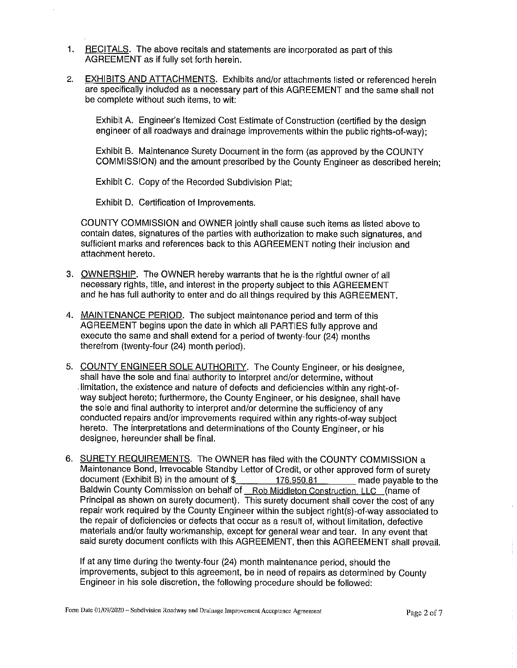- 1. RECITALS. The above recitals and statements are incorporated as part of this AGREEMENT as if fully set forth herein.
- 2. EXHIBITS AND ATTACHMENTS. Exhibits and/or attachments listed or referenced herein are specifically included as a necessary part of this AGREEMENT and the same shall not be complete without such items, to wit:

Exhibit A. Engineer's Itemized Cost Estimate of Construction (certified by the design engineer of all roadways and drainage improvements within the public rights-of-way);

Exhibit B. Maintenance Surety Document in the form (as approved by the COUNTY COMMISSION) and the amount prescribed by the County Engineer as described herein;

Exhibit C. Copy of the Recorded Subdivision Plat;

Exhibit D. Certification of Improvements.

COUNTY COMMISSION and OWNER jointly shall cause such items as listed above to contain dates, signatures of the parties with authorization to make such signatures, and sufficient marks and references back to this AGREEMENT noting their inclusion and attachment hereto.

- 3. OWNERSHIP. The OWNER hereby warrants that he is the rightful owner of all necessary rights, title, and interest in the property subject to this AGREEMENT and he has full authority to enter and do all things required by this AGREEMENT.
- 4. MAINTENANCE PERIOD. The subject maintenance period and term of this AGREEMENT begins upon the date in which all PARTIES fully approve and execute the same and shall extend for a period of twenty-four (24) months therefrom (twenty-four (24) month period).
- 5. COUNTY ENGINEER SOLE AUTHORITY. The County Engineer, or his designee, shall have the sole and final authority to Interpret and/or determine, without . limitation, the existence and nature of defects and deficiencies within any right-ofway subject hereto; furthermore, the County Engineer, or his designee, shall have the sole and final authority to interpret and/or determine the sufficiency of any conducted repairs and/or improvements required within any rights-of-way subject hereto. The interpretations and determinations of the County Engineer, or his designee, hereunder shall be final.
- 6. SURETY REQUIREMENTS. The OWNER has filed with the COUNTY COMMISSION a Maintenance Bond, Irrevocable Standby Letter of Credit, or other approved form of surety document (Exhibit B) in the amount of  $\frac{2}{3}$  176,950.81 made payable to the Baldwin County Commission on behalf of Rob Middleton Construction, LLC (name of Principal as shown on surety document). This surety document shall cover the cost of any repair work required by the County Engineer within the subject right(s)-of-way associated to the repair of deficiencies or defects that occur as a result of, without limitation, defective materials and/or faulty workmanship, except for general wear and tear. In any event that said surety document conflicts with this AGREEMENT, then this AGREEMENT shall prevail.

If at any time during the twenty-four (24) month maintenance period, should the improvements, subject to this agreement, be in need of repairs as determined by County Engineer in his sole discretion, the following procedure should be followed: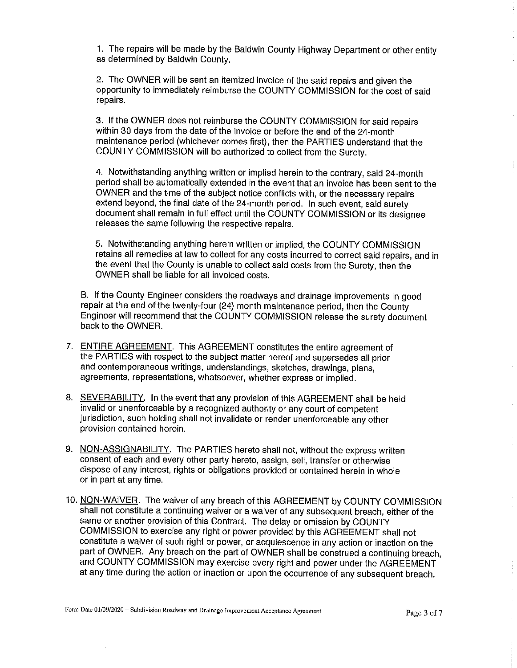1. The repairs will be made by the Baldwin County Highway Department or other entity as determined by Baldwin County.

2. The OWNER will be sent an itemized invoice of the said repairs and given the opportunity to immediately reimburse the COUNTY COMMISSION for the cost of said repairs.

3. If the OWNER does not reimburse the COUNTY COMMISSION for said repairs within 30 days from the date of the invoice or before the end of the 24-month maintenance period (whichever comes first), then the PARTIES understand that the COUNTY COMMISSION will be authorized to collect from the Surety.

4. Notwithstanding anything written or implied herein to the contrary, said 24-month period shall be automatically extended in the event that an invoice has been sent to the OWNER and the time of the subject notice conflicts with, or the necessary repairs extend beyond, the final date of the 24-month period. In such event, said surety document shall remain in full effect until the COUNTY COMMISSION or its designee releases the same following the respective repairs.

5. Notwithstanding anything herein written or implied, the COUNTY COMMISSION retains all remedies at law to collect for any costs incurred to correct said repairs, and in the event that the County is unable to collect said costs from the Surety, then the OWNER shall be liable for all invoiced costs.

B. If the County Engineer considers the roadways and drainage improvements in good repair at the end of the twenty-four (24} month maintenance period, then the County Engineer will recommend that the COUNTY COMMISSION release the surety document back to the OWNER.

- 7. ENTIRE AGREEMENT. This AGREEMENT constitutes the entire agreement of the PARTIES with respect to the subject matter hereof and supersedes all prior and contemporaneous writings, understandings, sketches, drawings, plans, agreements, representations, whatsoever, whether express or implied.
- 8. SEVERABILITY. In the event that any provision of this AGREEMENT shall be held invalid or unenforceable by a recognized authority or any court of competent jurisdiction, such holding shall not invalidate or render unenforceable any other provision contained herein.
- 9. NON-ASSIGNABILITY. The PARTIES hereto shall not, without the express written consent of each and every other party hereto, assign, sell, transfer or otherwise dispose of any interest, rights or obligations provided or contained herein in whole or in part at any time.
- 10. NON-WAIVER. The waiver of any breach of this AGREEMENT by COUNTY COMMISSION shall not constitute a continuing waiver or a waiver of any subsequent breach, either of the same or another provision of this Contract. The delay or omission by COUNTY COMMISSION to exercise any right or power provided by this AGREEMENT shall not constitute a waiver of such right or power, or acquiescence in any action or inaction on the part of OWNER. Any breach on the part of OWNER shall be construed a continuing breach, and COUNTY COMMISSION may exercise every right and power under the AGREEMENT at any time during the action or inaction or upon the occurrence of any subsequent breach.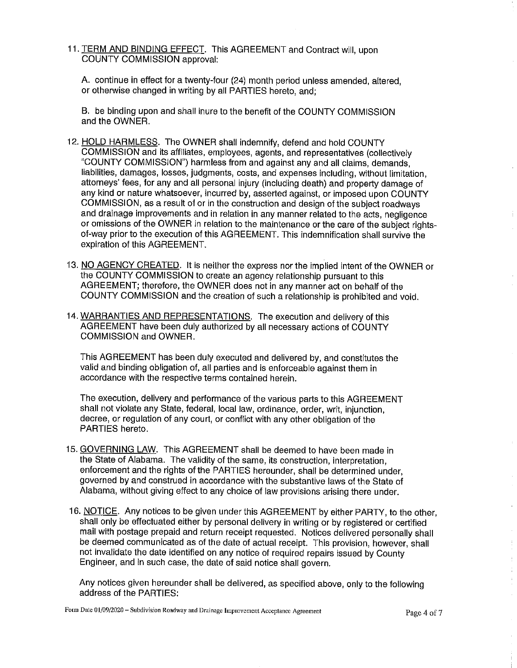11. TERM AND BINDING EFFECT. This AGREEMENT and Contract will, upon COUNTY COMMISSION approval:

A. continue in effect for a twenty-four (24) month period unless amended, altered, or otherwise changed in writing by all PARTIES hereto, and;

B. be binding upon and shall inure to the benefit of the COUNTY COMMISSION and the OWNER.

- 12. HOLD HARMLESS. The OWNER shall indemnify, defend and hold COUNTY COMMISSION and its affiliates, employees, agents, and representatives (collectively "COUNTY COMMISSION") harmless from and against any and all claims, demands, liabilities, damages, losses, judgments, costs, and expenses including, without limitation, attorneys' fees, for any and all personal injury (including death) and property damage of any kind or nature whatsoever, incurred by, asserted against, or imposed upon COUNTY COMMISSION, as a result of or in the construction and design of the subject roadways and drainage improvements and in relation in any manner related to the acts, negligence or omissions of the OWNER in relation to the maintenance or the care of the subject rightsof-way prior to the execution of this AGREEMENT. This indemnification shall survive the expiration of this AGREEMENT.
- 13. NO AGENCY CREATED. It is neither the express nor the implied intent of the OWNER or the COUNTY COMMISSION to create an agency relationship pursuant to this AGREEMENT; therefore, the OWNER does not in any manner act on behalf of the COUNTY COMMISSION and the creation of such a relationship is prohibited and void.
- 14. WARRANTIES AND REPRESENTATIONS. The execution and delivery of this AGREEMENT have been duly authorized by all necessary actions of COUNTY COMMISSION and OWNER.

This AGREEMENT has been duly executed and delivered by, and constitutes the valid and binding obligation of, all parties and is enforceable against them in accordance with the respective terms contained herein.

The execution, delivery and performance of the various parts to this AGREEMENT shall not violate any State, federal, local law, ordinance, order, writ, injunction, decree, or regulation of any court, or conflict with any other obligation of the PARTIES hereto.

- 15. GOVERNING LAW. This AGREEMENT shall be deemed to have been made in the State of Alabama. The validity of the same, its construction, interpretation, enforcement and the rights of the PARTIES hereunder, shall be determined under, governed by and construed in accordance with the substantive laws of the State of Alabama, without giving effect to any choice of law provisions arising there under.
- 16. NOTICE. Any notices to be given under this AGREEMENT by either PARTY, to the other, shall only be effectuated either by personal delivery in writing or by registered or certified mail with postage prepaid and return receipt requested. Notices delivered personally shall be deemed communicated as of the date of actual receipt. This provision, however, shall not invalidate the date identified on any notice of required repairs issued by County Engineer, and in such case, the date of said notice shall govern.

Any notices given hereunder shall be delivered, as specified above, only to the following address of the PARTIES: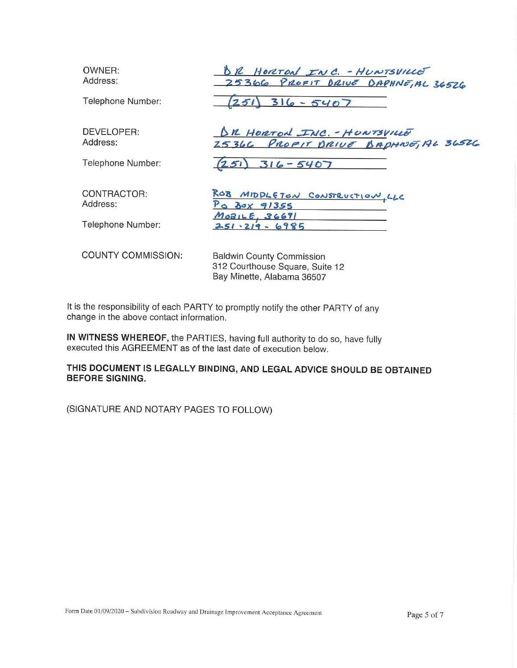| OWNER:<br>Address:        | BR HORTON INC. - HUNTSVILLE<br>25366 PROFIT DRIVE DAPHNE, AL 36526                                |
|---------------------------|---------------------------------------------------------------------------------------------------|
| Telephone Number:         | $316 - 5407$<br>251                                                                               |
| DEVELOPER:<br>Address:    | <u>DR HORTON INC. - HUNTSVILLE</u><br>25366 PROFIT DRIVE BAPHNE, AL 36526                         |
| Telephone Number:         | (251)<br>$316 - 5407$                                                                             |
| CONTRACTOR:<br>Address:   | ROB MIDDLETON CONSTRUCTION, LLC<br>Po Box 91355                                                   |
| Telephone Number:         | M0BILE, 36691<br>$251 \cdot 219 - 6985$                                                           |
| <b>COUNTY COMMISSION:</b> | <b>Baldwin County Commission</b><br>312 Courthouse Square, Suite 12<br>Bay Minette, Alabama 36507 |

It is the responsibility of each PARTY to promptly notify the other PARTY of any change in the above contact information.

**IN WITNESS WHEREOF,** the PARTIES, having full authority to do so, have fully executed this AGREEMENT as of the last date of execution below.

**THIS DOCUMENT IS LEGALLY BINDING, AND LEGAL ADVICE SHOULD BE OBTAINED BEFORE SIGNING.** 

(SIGNATURE AND NOTARY PAGES TO FOLLOW)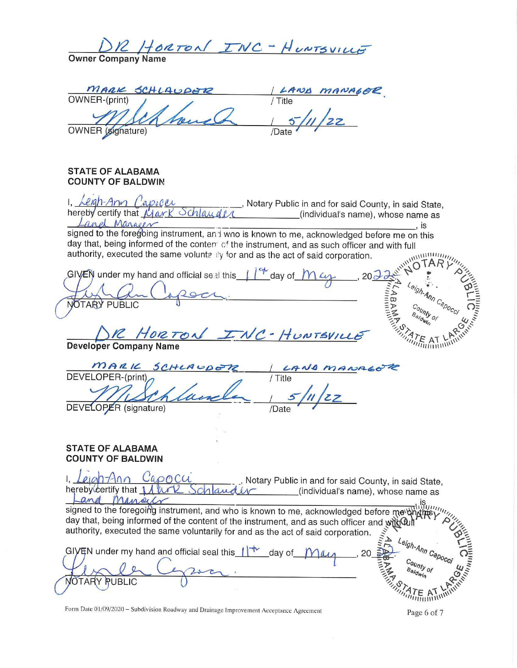INC - HUNTSVILLE HORTON **Owner Company Name** MARK SCHLAUDER OWNER-(print) Title **OWNER** (signature) **STATE OF ALABAMA COUNTY OF BALDWIN** , Notary Public in and for said County, in said State, hereby certify that Mark Schlau (individual's name), whose name as and Marger  $\cdot$  is signed to the foregoing instrument, and wno is known to me, acknowledged before me on this day that, being informed of the content of the instrument, and as such officer and with full **William** authority, executed the same voluntally for and as the act of said corporation. GIVEN under my hand and official seal this  $\int_{0}^{1}$  day of  $e_{\theta h}$ ABAM"  $A_{\eta_{\eta}}$ NOTARY PUBLIC  $c_{\textit{ouny}}$ R HORTON INC-HUNTSVIL **Developer Company Name** MARIC SCHLA DEVELOPER-(print) / Title DEVELOPER (signature) /Date **STATE OF ALABAMA COUNTY OF BALDWIN**  $p_1$ ah-Ann Cappcu Notary Public in and for said County, in said State, hereby certify that 1 A ark (individual's name), whose name as Manach and יייוויי signed to the foregoing instrument, and who is known to me, acknowledged before me \\ day that, being informed of the content of the instrument, and as such officer and with Out authority, executed the same voluntarily for and as the act of said corporation.  $\iota_{\text{eigh-A}_{\textit{RID}}}\text{C}_{\textit{ap}_{\textit{O}_\mathcal{C}}}$ GIVEN under my hand and official seal this  $1^+$ day of County of  $B_{\partial/\partial}$ **RUBLIC OTARY** 

Form Date 01/09/2020 - Subdivision Roadway and Drainage Improvement Acceptance Agreement

Page 6 of 7